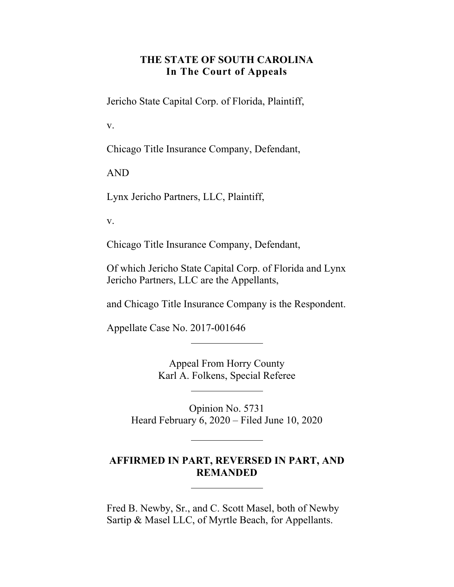### **THE STATE OF SOUTH CAROLINA In The Court of Appeals**

Jericho State Capital Corp. of Florida, Plaintiff,

v.

Chicago Title Insurance Company, Defendant,

AND

Lynx Jericho Partners, LLC, Plaintiff,

v.

Chicago Title Insurance Company, Defendant,

Of which Jericho State Capital Corp. of Florida and Lynx Jericho Partners, LLC are the Appellants,

and Chicago Title Insurance Company is the Respondent.

Appellate Case No. 2017-001646

Appeal From Horry County Karl A. Folkens, Special Referee

Opinion No. 5731 Heard February 6, 2020 – Filed June 10, 2020

#### **AFFIRMED IN PART, REVERSED IN PART, AND REMANDED**

Fred B. Newby, Sr., and C. Scott Masel, both of Newby Sartip & Masel LLC, of Myrtle Beach, for Appellants.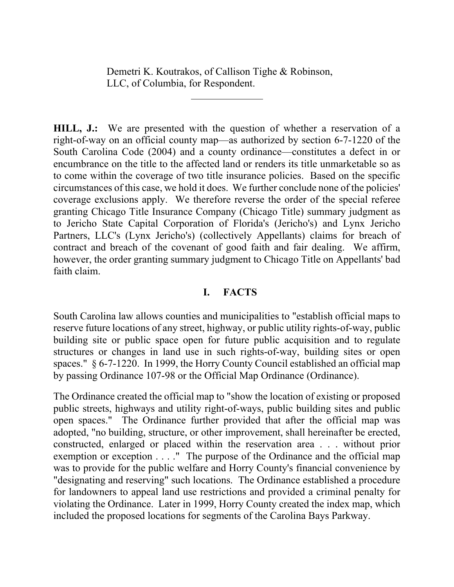Demetri K. Koutrakos, of Callison Tighe & Robinson, LLC, of Columbia, for Respondent.

**HILL, J.:** We are presented with the question of whether a reservation of a right-of-way on an official county map—as authorized by section 6-7-1220 of the South Carolina Code (2004) and a county ordinance—constitutes a defect in or encumbrance on the title to the affected land or renders its title unmarketable so as to come within the coverage of two title insurance policies. Based on the specific circumstances of this case, we hold it does. We further conclude none of the policies' coverage exclusions apply. We therefore reverse the order of the special referee granting Chicago Title Insurance Company (Chicago Title) summary judgment as to Jericho State Capital Corporation of Florida's (Jericho's) and Lynx Jericho Partners, LLC's (Lynx Jericho's) (collectively Appellants) claims for breach of contract and breach of the covenant of good faith and fair dealing. We affirm, however, the order granting summary judgment to Chicago Title on Appellants' bad faith claim.

#### **I. FACTS**

South Carolina law allows counties and municipalities to "establish official maps to reserve future locations of any street, highway, or public utility rights-of-way, public building site or public space open for future public acquisition and to regulate structures or changes in land use in such rights-of-way, building sites or open spaces." § 6-7-1220. In 1999, the Horry County Council established an official map by passing Ordinance 107-98 or the Official Map Ordinance (Ordinance).

The Ordinance created the official map to "show the location of existing or proposed public streets, highways and utility right-of-ways, public building sites and public open spaces." The Ordinance further provided that after the official map was adopted, "no building, structure, or other improvement, shall hereinafter be erected, constructed, enlarged or placed within the reservation area . . . without prior exemption or exception . . . ." The purpose of the Ordinance and the official map was to provide for the public welfare and Horry County's financial convenience by "designating and reserving" such locations. The Ordinance established a procedure for landowners to appeal land use restrictions and provided a criminal penalty for violating the Ordinance. Later in 1999, Horry County created the index map, which included the proposed locations for segments of the Carolina Bays Parkway.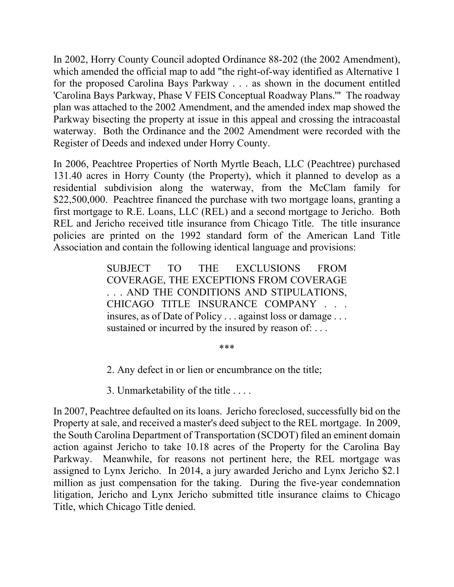Register of Deeds and indexed under Horry County. In 2002, Horry County Council adopted Ordinance 88-202 (the 2002 Amendment), which amended the official map to add "the right-of-way identified as Alternative 1 for the proposed Carolina Bays Parkway . . . as shown in the document entitled 'Carolina Bays Parkway, Phase V FEIS Conceptual Roadway Plans.'" The roadway plan was attached to the 2002 Amendment, and the amended index map showed the Parkway bisecting the property at issue in this appeal and crossing the intracoastal waterway. Both the Ordinance and the 2002 Amendment were recorded with the

In 2006, Peachtree Properties of North Myrtle Beach, LLC (Peachtree) purchased 131.40 acres in Horry County (the Property), which it planned to develop as a residential subdivision along the waterway, from the McClam family for \$22,500,000. Peachtree financed the purchase with two mortgage loans, granting a first mortgage to R.E. Loans, LLC (REL) and a second mortgage to Jericho. Both REL and Jericho received title insurance from Chicago Title. The title insurance policies are printed on the 1992 standard form of the American Land Title Association and contain the following identical language and provisions:

> SUBJECT TO THE EXCLUSIONS FROM COVERAGE, THE EXCEPTIONS FROM COVERAGE . . . AND THE CONDITIONS AND STIPULATIONS, CHICAGO TITLE INSURANCE COMPANY . . . insures, as of Date of Policy . . . against loss or damage . . . sustained or incurred by the insured by reason of: ...

#### \*\*\*

2. Any defect in or lien or encumbrance on the title;

3. Unmarketability of the title . . . .

 Property at sale, and received a master's deed subject to the REL mortgage. In 2009,  assigned to Lynx Jericho. In 2014, a jury awarded Jericho and Lynx Jericho \$2.1 In 2007, Peachtree defaulted on its loans. Jericho foreclosed, successfully bid on the the South Carolina Department of Transportation (SCDOT) filed an eminent domain action against Jericho to take 10.18 acres of the Property for the Carolina Bay Parkway. Meanwhile, for reasons not pertinent here, the REL mortgage was million as just compensation for the taking. During the five-year condemnation litigation, Jericho and Lynx Jericho submitted title insurance claims to Chicago Title, which Chicago Title denied.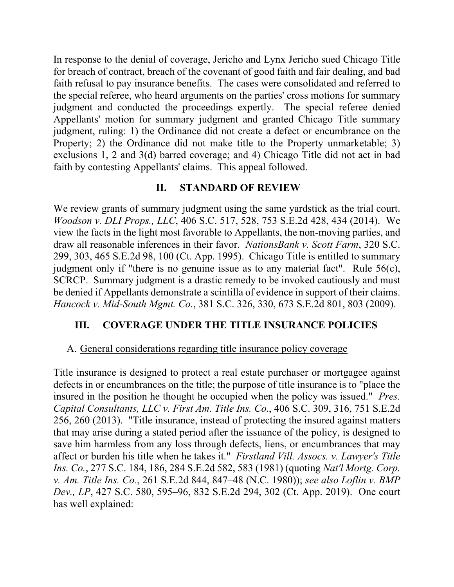faith refusal to pay insurance benefits. The cases were consolidated and referred to In response to the denial of coverage, Jericho and Lynx Jericho sued Chicago Title for breach of contract, breach of the covenant of good faith and fair dealing, and bad the special referee, who heard arguments on the parties' cross motions for summary judgment and conducted the proceedings expertly. The special referee denied Appellants' motion for summary judgment and granted Chicago Title summary judgment, ruling: 1) the Ordinance did not create a defect or encumbrance on the Property; 2) the Ordinance did not make title to the Property unmarketable; 3) exclusions 1, 2 and 3(d) barred coverage; and 4) Chicago Title did not act in bad faith by contesting Appellants' claims. This appeal followed.

## **II. STANDARD OF REVIEW**

We review grants of summary judgment using the same yardstick as the trial court. *Hancock v. Mid-South Mgmt. Co.*, 381 S.C. 326, 330, 673 S.E.2d 801, 803 (2009). *Woodson v. DLI Props., LLC*, 406 S.C. 517, 528, 753 S.E.2d 428, 434 (2014). We view the facts in the light most favorable to Appellants, the non-moving parties, and draw all reasonable inferences in their favor. *NationsBank v. Scott Farm*, 320 S.C. 299, 303, 465 S.E.2d 98, 100 (Ct. App. 1995). Chicago Title is entitled to summary judgment only if "there is no genuine issue as to any material fact". Rule 56(c), SCRCP. Summary judgment is a drastic remedy to be invoked cautiously and must be denied if Appellants demonstrate a scintilla of evidence in support of their claims.

## **III. COVERAGE UNDER THE TITLE INSURANCE POLICIES**

### A. General considerations regarding title insurance policy coverage

Title insurance is designed to protect a real estate purchaser or mortgagee against defects in or encumbrances on the title; the purpose of title insurance is to "place the insured in the position he thought he occupied when the policy was issued." *Pres. Capital Consultants, LLC v. First Am. Title Ins. Co.*, 406 S.C. 309, 316, 751 S.E.2d 256, 260 (2013). "Title insurance, instead of protecting the insured against matters that may arise during a stated period after the issuance of the policy, is designed to save him harmless from any loss through defects, liens, or encumbrances that may affect or burden his title when he takes it." *Firstland Vill. Assocs. v. Lawyer's Title Ins. Co.*, 277 S.C. 184, 186, 284 S.E.2d 582, 583 (1981) (quoting *Nat'l Mortg. Corp. v. Am. Title Ins. Co.*, 261 S.E.2d 844, 847–48 (N.C. 1980)); *see also Loflin v. BMP Dev., LP*, 427 S.C. 580, 595–96, 832 S.E.2d 294, 302 (Ct. App. 2019). One court has well explained: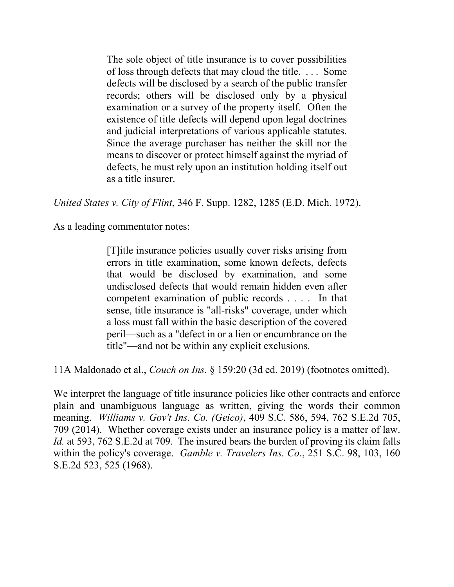The sole object of title insurance is to cover possibilities of loss through defects that may cloud the title. . . . Some defects will be disclosed by a search of the public transfer records; others will be disclosed only by a physical examination or a survey of the property itself. Often the existence of title defects will depend upon legal doctrines and judicial interpretations of various applicable statutes. Since the average purchaser has neither the skill nor the means to discover or protect himself against the myriad of defects, he must rely upon an institution holding itself out as a title insurer.

*United States v. City of Flint*, 346 F. Supp. 1282, 1285 (E.D. Mich. 1972).

As a leading commentator notes:

[T]itle insurance policies usually cover risks arising from errors in title examination, some known defects, defects that would be disclosed by examination, and some undisclosed defects that would remain hidden even after competent examination of public records . . . . In that sense, title insurance is "all-risks" coverage, under which a loss must fall within the basic description of the covered peril—such as a "defect in or a lien or encumbrance on the title"—and not be within any explicit exclusions.

11A Maldonado et al., *Couch on Ins*. § 159:20 (3d ed. 2019) (footnotes omitted).

We interpret the language of title insurance policies like other contracts and enforce plain and unambiguous language as written, giving the words their common meaning. *Williams v. Gov't Ins. Co. (Geico)*, 409 S.C. 586, 594, 762 S.E.2d 705, 709 (2014). Whether coverage exists under an insurance policy is a matter of law. *Id.* at 593, 762 S.E.2d at 709. The insured bears the burden of proving its claim falls within the policy's coverage. *Gamble v. Travelers Ins. Co*., 251 S.C. 98, 103, 160 S.E.2d 523, 525 (1968).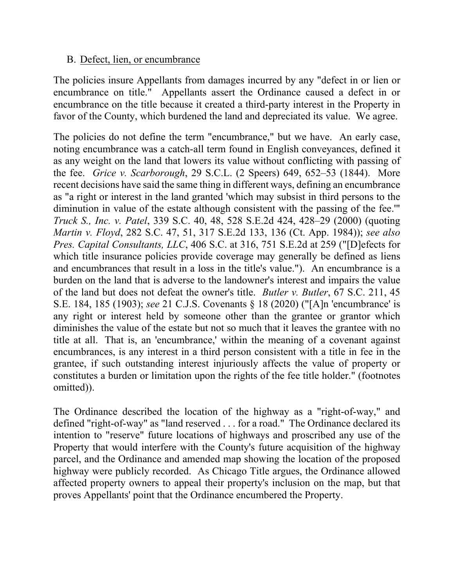### B. Defect, lien, or encumbrance

The policies insure Appellants from damages incurred by any "defect in or lien or encumbrance on title." Appellants assert the Ordinance caused a defect in or encumbrance on the title because it created a third-party interest in the Property in favor of the County, which burdened the land and depreciated its value. We agree.

The policies do not define the term "encumbrance," but we have. An early case, noting encumbrance was a catch-all term found in English conveyances, defined it as any weight on the land that lowers its value without conflicting with passing of the fee. *Grice v. Scarborough*, 29 S.C.L. (2 Speers) 649, 652–53 (1844). More recent decisions have said the same thing in different ways, defining an encumbrance as "a right or interest in the land granted 'which may subsist in third persons to the diminution in value of the estate although consistent with the passing of the fee.'" *Truck S., Inc. v. Patel*, 339 S.C. 40, 48, 528 S.E.2d 424, 428–29 (2000) (quoting *Martin v. Floyd*, 282 S.C. 47, 51, 317 S.E.2d 133, 136 (Ct. App. 1984)); *see also Pres. Capital Consultants, LLC*, 406 S.C. at 316, 751 S.E.2d at 259 ("[D]efects for which title insurance policies provide coverage may generally be defined as liens and encumbrances that result in a loss in the title's value."). An encumbrance is a burden on the land that is adverse to the landowner's interest and impairs the value of the land but does not defeat the owner's title. *Butler v. Butler*, 67 S.C. 211, 45 S.E. 184, 185 (1903); *see* 21 C.J.S. Covenants § 18 (2020) ("[A]n 'encumbrance' is any right or interest held by someone other than the grantee or grantor which diminishes the value of the estate but not so much that it leaves the grantee with no title at all. That is, an 'encumbrance,' within the meaning of a covenant against encumbrances, is any interest in a third person consistent with a title in fee in the grantee, if such outstanding interest injuriously affects the value of property or constitutes a burden or limitation upon the rights of the fee title holder." (footnotes omitted)).

The Ordinance described the location of the highway as a "right-of-way," and defined "right-of-way" as "land reserved . . . for a road." The Ordinance declared its intention to "reserve" future locations of highways and proscribed any use of the Property that would interfere with the County's future acquisition of the highway parcel, and the Ordinance and amended map showing the location of the proposed highway were publicly recorded. As Chicago Title argues, the Ordinance allowed affected property owners to appeal their property's inclusion on the map, but that proves Appellants' point that the Ordinance encumbered the Property.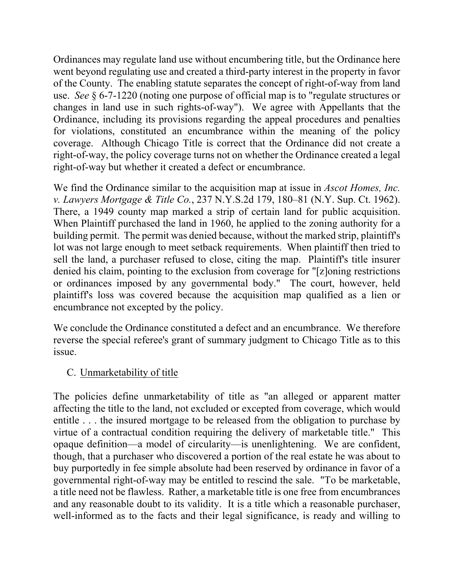Ordinances may regulate land use without encumbering title, but the Ordinance here went beyond regulating use and created a third-party interest in the property in favor of the County. The enabling statute separates the concept of right-of-way from land use. *See* § 6-7-1220 (noting one purpose of official map is to "regulate structures or changes in land use in such rights-of-way"). We agree with Appellants that the Ordinance, including its provisions regarding the appeal procedures and penalties for violations, constituted an encumbrance within the meaning of the policy coverage. Although Chicago Title is correct that the Ordinance did not create a right-of-way, the policy coverage turns not on whether the Ordinance created a legal right-of-way but whether it created a defect or encumbrance.

There, a 1949 county map marked a strip of certain land for public acquisition. We find the Ordinance similar to the acquisition map at issue in *Ascot Homes, Inc. v. Lawyers Mortgage & Title Co.*, 237 [N.Y.S.2d](https://N.Y.S.2d) 179, 180–81 (N.Y. Sup. Ct. 1962). When Plaintiff purchased the land in 1960, he applied to the zoning authority for a building permit. The permit was denied because, without the marked strip, plaintiff's lot was not large enough to meet setback requirements. When plaintiff then tried to sell the land, a purchaser refused to close, citing the map. Plaintiff's title insurer denied his claim, pointing to the exclusion from coverage for "[z]oning restrictions or ordinances imposed by any governmental body." The court, however, held plaintiff's loss was covered because the acquisition map qualified as a lien or encumbrance not excepted by the policy.

We conclude the Ordinance constituted a defect and an encumbrance. We therefore reverse the special referee's grant of summary judgment to Chicago Title as to this issue.

## C. Unmarketability of title

The policies define unmarketability of title as "an alleged or apparent matter affecting the title to the land, not excluded or excepted from coverage, which would entitle . . . the insured mortgage to be released from the obligation to purchase by virtue of a contractual condition requiring the delivery of marketable title." This opaque definition—a model of circularity—is unenlightening. We are confident, though, that a purchaser who discovered a portion of the real estate he was about to buy purportedly in fee simple absolute had been reserved by ordinance in favor of a governmental right-of-way may be entitled to rescind the sale. "To be marketable, a title need not be flawless. Rather, a marketable title is one free from encumbrances and any reasonable doubt to its validity. It is a title which a reasonable purchaser, well-informed as to the facts and their legal significance, is ready and willing to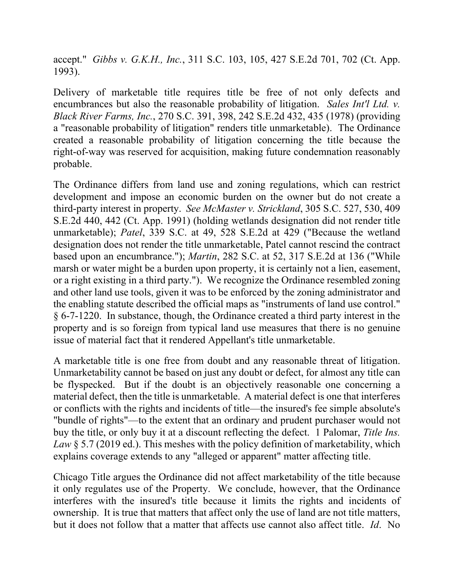accept." *Gibbs v. G.K.H., Inc.*, 311 S.C. 103, 105, 427 S.E.2d 701, 702 (Ct. App. 1993).

Delivery of marketable title requires title be free of not only defects and encumbrances but also the reasonable probability of litigation. *Sales Int'l Ltd. v. Black River Farms, Inc.*, 270 S.C. 391, 398, 242 S.E.2d 432, 435 (1978) (providing a "reasonable probability of litigation" renders title unmarketable). The Ordinance created a reasonable probability of litigation concerning the title because the right-of-way was reserved for acquisition, making future condemnation reasonably probable.

The Ordinance differs from land use and zoning regulations, which can restrict development and impose an economic burden on the owner but do not create a third-party interest in property. *See McMaster v. Strickland*, 305 S.C. 527, 530, 409 S.E.2d 440, 442 (Ct. App. 1991) (holding wetlands designation did not render title unmarketable); *Patel*, 339 S.C. at 49, 528 S.E.2d at 429 ("Because the wetland designation does not render the title unmarketable, Patel cannot rescind the contract based upon an encumbrance."); *Martin*, 282 S.C. at 52, 317 S.E.2d at 136 ("While marsh or water might be a burden upon property, it is certainly not a lien, easement, or a right existing in a third party."). We recognize the Ordinance resembled zoning and other land use tools, given it was to be enforced by the zoning administrator and the enabling statute described the official maps as "instruments of land use control." § 6-7-1220. In substance, though, the Ordinance created a third party interest in the property and is so foreign from typical land use measures that there is no genuine issue of material fact that it rendered Appellant's title unmarketable.

A marketable title is one free from doubt and any reasonable threat of litigation. Unmarketability cannot be based on just any doubt or defect, for almost any title can be flyspecked. But if the doubt is an objectively reasonable one concerning a material defect, then the title is unmarketable. A material defect is one that interferes or conflicts with the rights and incidents of title—the insured's fee simple absolute's "bundle of rights"—to the extent that an ordinary and prudent purchaser would not buy the title, or only buy it at a discount reflecting the defect. 1 Palomar, *Title Ins. Law* § 5.7 (2019 ed.). This meshes with the policy definition of marketability, which explains coverage extends to any "alleged or apparent" matter affecting title.

Chicago Title argues the Ordinance did not affect marketability of the title because it only regulates use of the Property. We conclude, however, that the Ordinance interferes with the insured's title because it limits the rights and incidents of ownership. It is true that matters that affect only the use of land are not title matters, but it does not follow that a matter that affects use cannot also affect title. *Id*. No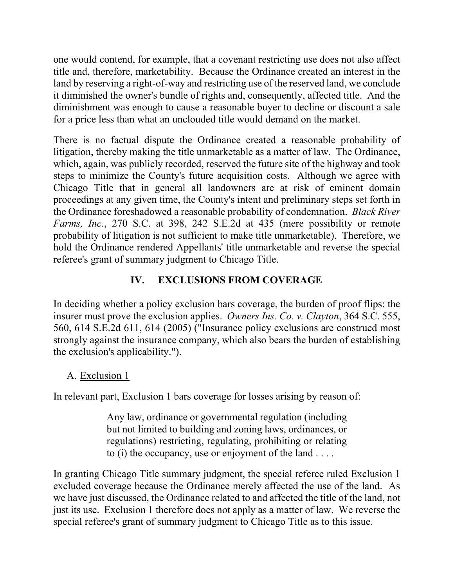one would contend, for example, that a covenant restricting use does not also affect title and, therefore, marketability. Because the Ordinance created an interest in the land by reserving a right-of-way and restricting use of the reserved land, we conclude it diminished the owner's bundle of rights and, consequently, affected title. And the diminishment was enough to cause a reasonable buyer to decline or discount a sale for a price less than what an unclouded title would demand on the market.

There is no factual dispute the Ordinance created a reasonable probability of litigation, thereby making the title unmarketable as a matter of law. The Ordinance, which, again, was publicly recorded, reserved the future site of the highway and took steps to minimize the County's future acquisition costs. Although we agree with Chicago Title that in general all landowners are at risk of eminent domain proceedings at any given time, the County's intent and preliminary steps set forth in the Ordinance foreshadowed a reasonable probability of condemnation. *Black River Farms, Inc.*, 270 S.C. at 398, 242 S.E.2d at 435 (mere possibility or remote probability of litigation is not sufficient to make title unmarketable). Therefore, we hold the Ordinance rendered Appellants' title unmarketable and reverse the special referee's grant of summary judgment to Chicago Title.

# **IV. EXCLUSIONS FROM COVERAGE**

In deciding whether a policy exclusion bars coverage, the burden of proof flips: the insurer must prove the exclusion applies. *Owners Ins. Co. v. Clayton*, 364 S.C. 555, 560, 614 S.E.2d 611, 614 (2005) ("Insurance policy exclusions are construed most strongly against the insurance company, which also bears the burden of establishing the exclusion's applicability.").

# A. Exclusion 1

In relevant part, Exclusion 1 bars coverage for losses arising by reason of:

Any law, ordinance or governmental regulation (including but not limited to building and zoning laws, ordinances, or regulations) restricting, regulating, prohibiting or relating to (i) the occupancy, use or enjoyment of the land  $\dots$ .

In granting Chicago Title summary judgment, the special referee ruled Exclusion 1 excluded coverage because the Ordinance merely affected the use of the land. As we have just discussed, the Ordinance related to and affected the title of the land, not just its use. Exclusion 1 therefore does not apply as a matter of law. We reverse the special referee's grant of summary judgment to Chicago Title as to this issue.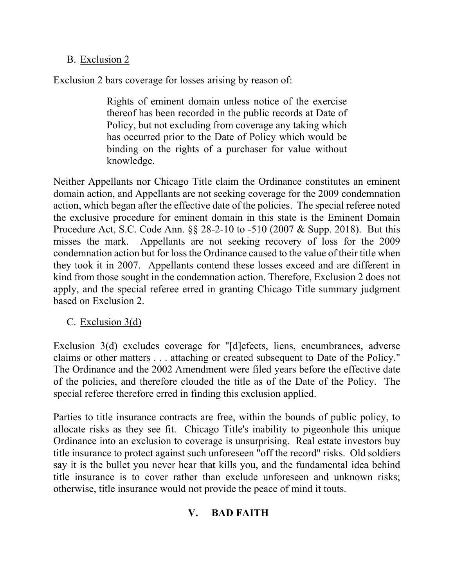## B. Exclusion 2

Exclusion 2 bars coverage for losses arising by reason of:

Rights of eminent domain unless notice of the exercise thereof has been recorded in the public records at Date of Policy, but not excluding from coverage any taking which has occurred prior to the Date of Policy which would be binding on the rights of a purchaser for value without knowledge.

 they took it in 2007. Appellants contend these losses exceed and are different in Neither Appellants nor Chicago Title claim the Ordinance constitutes an eminent domain action, and Appellants are not seeking coverage for the 2009 condemnation action, which began after the effective date of the policies. The special referee noted the exclusive procedure for eminent domain in this state is the Eminent Domain Procedure Act, S.C. Code Ann. §§ 28-2-10 to -510 (2007 & Supp. 2018). But this misses the mark. Appellants are not seeking recovery of loss for the 2009 condemnation action but for loss the Ordinance caused to the value of their title when kind from those sought in the condemnation action. Therefore, Exclusion 2 does not apply, and the special referee erred in granting Chicago Title summary judgment based on Exclusion 2.

C. Exclusion 3(d)

 claims or other matters . . . attaching or created subsequent to Date of the Policy." The Ordinance and the 2002 Amendment were filed years before the effective date  of the policies, and therefore clouded the title as of the Date of the Policy. The Exclusion 3(d) excludes coverage for "[d]efects, liens, encumbrances, adverse special referee therefore erred in finding this exclusion applied.

Parties to title insurance contracts are free, within the bounds of public policy, to allocate risks as they see fit. Chicago Title's inability to pigeonhole this unique Ordinance into an exclusion to coverage is unsurprising. Real estate investors buy title insurance to protect against such unforeseen "off the record" risks. Old soldiers say it is the bullet you never hear that kills you, and the fundamental idea behind title insurance is to cover rather than exclude unforeseen and unknown risks; otherwise, title insurance would not provide the peace of mind it touts.

# **V. BAD FAITH**